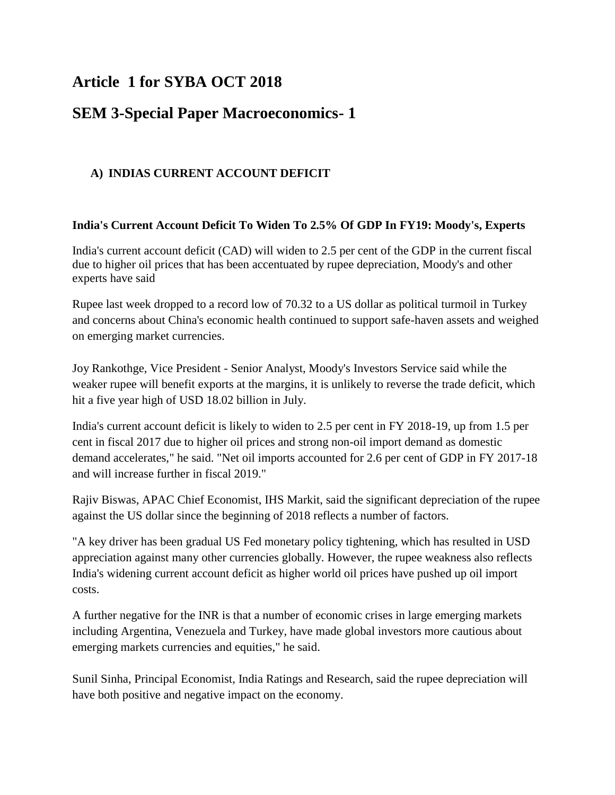# **Article 1 for SYBA OCT 2018**

## **SEM 3-Special Paper Macroeconomics- 1**

## **A) INDIAS CURRENT ACCOUNT DEFICIT**

#### **India's Current Account Deficit To Widen To 2.5% Of GDP In FY19: Moody's, Experts**

India's current account deficit (CAD) will widen to 2.5 per cent of the GDP in the current fiscal due to higher oil prices that has been accentuated by rupee depreciation, Moody's and other experts have said

Rupee last week dropped to a record low of 70.32 to a US dollar as political turmoil in Turkey and concerns about China's economic health continued to support safe-haven assets and weighed on emerging market currencies.

Joy Rankothge, Vice President - Senior Analyst, Moody's Investors Service said while the weaker rupee will benefit exports at the margins, it is unlikely to reverse the trade deficit, which hit a five year high of USD 18.02 billion in July.

India's current account deficit is likely to widen to 2.5 per cent in FY 2018-19, up from 1.5 per cent in fiscal 2017 due to higher oil prices and strong non-oil import demand as domestic demand accelerates," he said. "Net oil imports accounted for 2.6 per cent of GDP in FY 2017-18 and will increase further in fiscal 2019."

Rajiv Biswas, APAC Chief Economist, IHS Markit, said the significant depreciation of the rupee against the US dollar since the beginning of 2018 reflects a number of factors.

"A key driver has been gradual US Fed monetary policy tightening, which has resulted in USD appreciation against many other currencies globally. However, the rupee weakness also reflects India's widening current account deficit as higher world oil prices have pushed up oil import costs.

A further negative for the INR is that a number of economic crises in large emerging markets including Argentina, Venezuela and Turkey, have made global investors more cautious about emerging markets currencies and equities," he said.

Sunil Sinha, Principal Economist, India Ratings and Research, said the rupee depreciation will have both positive and negative impact on the economy.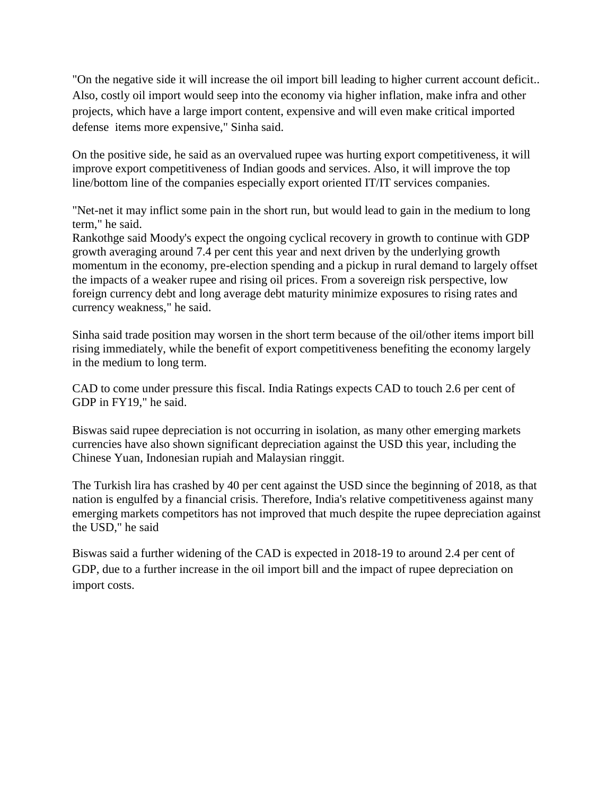"On the negative side it will increase the oil import bill leading to higher current account deficit.. Also, costly oil import would seep into the economy via higher inflation, make infra and other projects, which have a large import content, expensive and will even make critical imported defense items more expensive," Sinha said.

On the positive side, he said as an overvalued rupee was hurting export competitiveness, it will improve export competitiveness of Indian goods and services. Also, it will improve the top line/bottom line of the companies especially export oriented IT/IT services companies.

"Net-net it may inflict some pain in the short run, but would lead to gain in the medium to long term," he said.

Rankothge said Moody's expect the ongoing cyclical recovery in growth to continue with GDP growth averaging around 7.4 per cent this year and next driven by the underlying growth momentum in the economy, pre-election spending and a pickup in rural demand to largely offset the impacts of a weaker rupee and rising oil prices. From a sovereign risk perspective, low foreign currency debt and long average debt maturity minimize exposures to rising rates and currency weakness," he said.

Sinha said trade position may worsen in the short term because of the oil/other items import bill rising immediately, while the benefit of export competitiveness benefiting the economy largely in the medium to long term.

CAD to come under pressure this fiscal. India Ratings expects CAD to touch 2.6 per cent of GDP in FY19," he said.

Biswas said rupee depreciation is not occurring in isolation, as many other emerging markets currencies have also shown significant depreciation against the USD this year, including the Chinese Yuan, Indonesian rupiah and Malaysian ringgit.

The Turkish lira has crashed by 40 per cent against the USD since the beginning of 2018, as that nation is engulfed by a financial crisis. Therefore, India's relative competitiveness against many emerging markets competitors has not improved that much despite the rupee depreciation against the USD," he said

Biswas said a further widening of the CAD is expected in 2018-19 to around 2.4 per cent of GDP, due to a further increase in the oil import bill and the impact of rupee depreciation on import costs.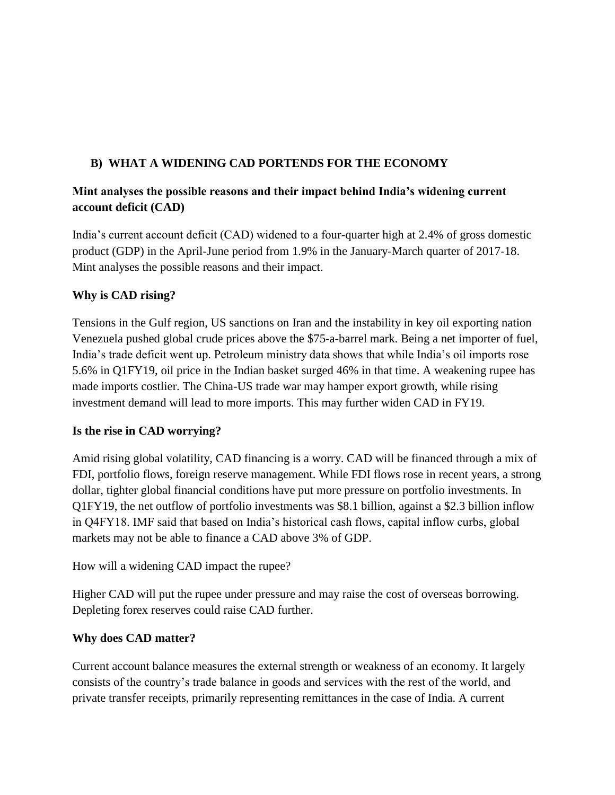## **B) WHAT A WIDENING CAD PORTENDS FOR THE ECONOMY**

## **Mint analyses the possible reasons and their impact behind India's widening current account deficit (CAD)**

India's current account deficit (CAD) widened to a four-quarter high at 2.4% of gross domestic product (GDP) in the April-June period from 1.9% in the January-March quarter of 2017-18. Mint analyses the possible reasons and their impact.

#### **Why is CAD rising?**

Tensions in the Gulf region, US sanctions on Iran and the instability in key oil exporting nation Venezuela pushed global crude prices above the \$75-a-barrel mark. Being a net importer of fuel, India's trade deficit went up. Petroleum ministry data shows that while India's oil imports rose 5.6% in Q1FY19, oil price in the Indian basket surged 46% in that time. A weakening rupee has made imports costlier. The China-US trade war may hamper export growth, while rising investment demand will lead to more imports. This may further widen CAD in FY19.

## **Is the rise in CAD worrying?**

Amid rising global volatility, CAD financing is a worry. CAD will be financed through a mix of FDI, portfolio flows, foreign reserve management. While FDI flows rose in recent years, a strong dollar, tighter global financial conditions have put more pressure on portfolio investments. In Q1FY19, the net outflow of portfolio investments was \$8.1 billion, against a \$2.3 billion inflow in Q4FY18. IMF said that based on India's historical cash flows, capital inflow curbs, global markets may not be able to finance a CAD above 3% of GDP.

How will a widening CAD impact the rupee?

Higher CAD will put the rupee under pressure and may raise the cost of overseas borrowing. Depleting forex reserves could raise CAD further.

#### **Why does CAD matter?**

Current account balance measures the external strength or weakness of an economy. It largely consists of the country's trade balance in goods and services with the rest of the world, and private transfer receipts, primarily representing remittances in the case of India. A current